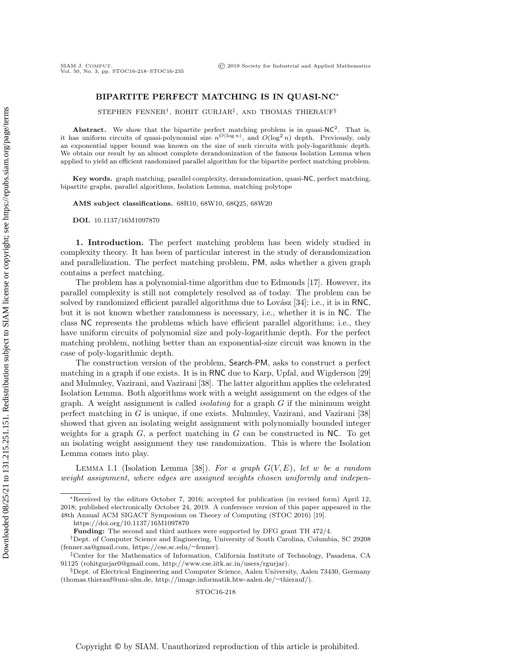## BIPARTITE PERFECT MATCHING IS IN QUASI-NC<sup>∗</sup>

STEPHEN FENNER† , ROHIT GURJAR‡ , AND THOMAS THIERAUF§

**Abstract.** We show that the bipartite perfect matching problem is in quasi- $NC^2$ . That is, it has uniform circuits of quasi-polynomial size  $n^{O(\log n)}$ , and  $O(\log^2 n)$  depth. Previously, only an exponential upper bound was known on the size of such circuits with poly-logarithmic depth. We obtain our result by an almost complete derandomization of the famous Isolation Lemma when applied to yield an efficient randomized parallel algorithm for the bipartite perfect matching problem.

Key words. graph matching, parallel complexity, derandomization, quasi-NC, perfect matching, bipartite graphs, parallel algorithms, Isolation Lemma, matching polytope

AMS subject classifications. 68R10, 68W10, 68Q25, 68W20

DOI. 10.1137/16M1097870

1. Introduction. The perfect matching problem has been widely studied in complexity theory. It has been of particular interest in the study of derandomization and parallelization. The perfect matching problem, PM, asks whether a given graph contains a perfect matching.

The problem has a polynomial-time algorithm due to Edmonds [\[17\]](#page-15-0). However, its parallel complexity is still not completely resolved as of today. The problem can be solved by randomized efficient parallel algorithms due to Lovász [\[34\]](#page-16-0); i.e., it is in RNC, but it is not known whether randomness is necessary, i.e., whether it is in NC. The class NC represents the problems which have efficient parallel algorithms; i.e., they have uniform circuits of polynomial size and poly-logarithmic depth. For the perfect matching problem, nothing better than an exponential-size circuit was known in the case of poly-logarithmic depth.

The construction version of the problem, Search-PM, asks to construct a perfect matching in a graph if one exists. It is in RNC due to Karp, Upfal, and Wigderson [\[29\]](#page-16-1) and Mulmuley, Vazirani, and Vazirani [\[38\]](#page-16-2). The latter algorithm applies the celebrated Isolation Lemma. Both algorithms work with a weight assignment on the edges of the graph. A weight assignment is called *isolating* for a graph  $G$  if the minimum weight perfect matching in G is unique, if one exists. Mulmuley, Vazirani, and Vazirani [\[38\]](#page-16-2) showed that given an isolating weight assignment with polynomially bounded integer weights for a graph  $G$ , a perfect matching in  $G$  can be constructed in NC. To get an isolating weight assignment they use randomization. This is where the Isolation Lemma comes into play.

LEMMA 1.1 (Isolation Lemma [\[38\]](#page-16-2)). For a graph  $G(V, E)$ , let w be a random weight assignment, where edges are assigned weights chosen uniformly and indepen-

<sup>∗</sup>Received by the editors October 7, 2016; accepted for publication (in revised form) April 12, 2018; published electronically October 24, 2019. A conference version of this paper appeared in the 48th Annual ACM SIGACT Symposium on Theory of Computing (STOC 2016) [\[19\]](#page-15-1).

<https://doi.org/10.1137/16M1097870>

Funding: The second and third authors were supported by DFG grant TH 472/4.

<sup>†</sup>Dept. of Computer Science and Engineering, University of South Carolina, Columbia, SC 29208 [\(fenner.sa@gmail.com,](mailto:fenner.sa@gmail.com) [https://cse.sc.edu/](https://cse.sc.edu/~fenner)∼fenner).

<sup>‡</sup>Center for the Mathematics of Information, California Institute of Technology, Pasadena, CA 91125 [\(rohitgurjar0@gmail.com,](mailto:rohitgurjar0@gmail.com) [http://www.cse.iitk.ac.in/users/rgurjar\)](http://www.cse.iitk.ac.in/users/rgurjar).

<sup>§</sup>Dept. of Electrical Engineering and Computer Science, Aalen University, Aalen 73430, Germany [\(thomas.thierauf@uni-ulm.de,](mailto:thomas.thierauf@uni-ulm.de) [http://image.informatik.htw-aalen.de/](http://image.informatik.htw-aalen.de/~thierauf/)∼thierauf/).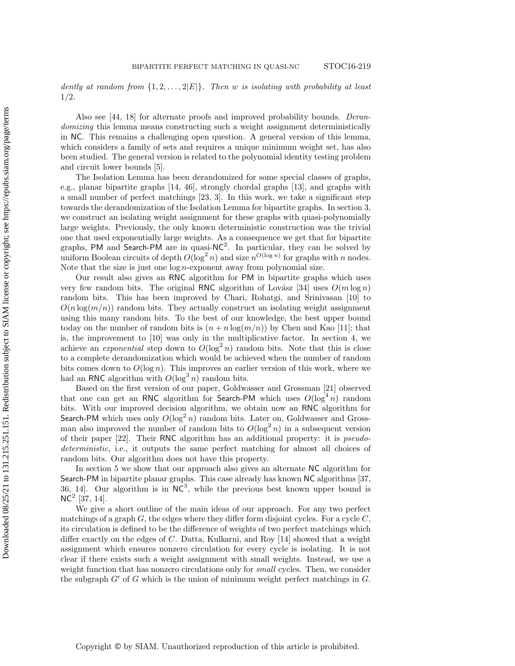dently at random from  $\{1, 2, \ldots, 2|E|\}$ . Then w is isolating with probability at least 1/2.

Also see [\[44,](#page-17-0) [18\]](#page-15-2) for alternate proofs and improved probability bounds. Derandomizing this lemma means constructing such a weight assignment deterministically in NC. This remains a challenging open question. A general version of this lemma, which considers a family of sets and requires a unique minimum weight set, has also been studied. The general version is related to the polynomial identity testing problem and circuit lower bounds [\[5\]](#page-15-3).

The Isolation Lemma has been derandomized for some special classes of graphs, e.g., planar bipartite graphs [\[14,](#page-15-4) [46\]](#page-17-1), strongly chordal graphs [\[13\]](#page-15-5), and graphs with a small number of perfect matchings [\[23,](#page-16-3) [3\]](#page-15-6). In this work, we take a significant step towards the derandomization of the Isolation Lemma for bipartite graphs. In [section 3,](#page-5-0) we construct an isolating weight assignment for these graphs with quasi-polynomially large weights. Previously, the only known deterministic construction was the trivial one that used exponentially large weights. As a consequence we get that for bipartite graphs, PM and Search-PM are in quasi- $NC^2$ . In particular, they can be solved by uniform Boolean circuits of depth  $O(\log^2 n)$  and size  $n^{O(\log n)}$  for graphs with n nodes. Note that the size is just one  $\log n$ -exponent away from polynomial size.

Our result also gives an RNC algorithm for PM in bipartite graphs which uses very few random bits. The original RNC algorithm of Lovász [\[34\]](#page-16-0) uses  $O(m \log n)$ random bits. This has been improved by Chari, Rohatgi, and Srinivasan [\[10\]](#page-15-7) to  $O(n \log(m/n))$  random bits. They actually construct an isolating weight assignment using this many random bits. To the best of our knowledge, the best upper bound today on the number of random bits is  $(n + n \log(m/n))$  by Chen and Kao [\[11\]](#page-15-8); that is, the improvement to [\[10\]](#page-15-7) was only in the multiplicative factor. In [section 4,](#page-10-0) we achieve an *exponential* step down to  $O(\log^2 n)$  random bits. Note that this is close to a complete derandomization which would be achieved when the number of random bits comes down to  $O(\log n)$ . This improves an earlier version of this work, where we had an RNC algorithm with  $O(\log^3 n)$  random bits.

Based on the first version of our paper, Goldwasser and Grossman [\[21\]](#page-16-4) observed that one can get an RNC algorithm for Search-PM which uses  $O(\log^4 n)$  random bits. With our improved decision algorithm, we obtain now an RNC algorithm for Search-PM which uses only  $O(\log^2 n)$  random bits. Later on, Goldwasser and Grossman also improved the number of random bits to  $O(\log^2 n)$  in a subsequent version of their paper [\[22\]](#page-16-5). Their RNC algorithm has an additional property: it is pseudodeterministic, i.e., it outputs the same perfect matching for almost all choices of random bits. Our algorithm does not have this property.

In [section 5](#page-13-0) we show that our approach also gives an alternate NC algorithm for Search-PM in bipartite planar graphs. This case already has known NC algorithms [\[37,](#page-16-6) [36,](#page-16-7) 14. Our algorithm is in  $NC^3$ , while the previous best known upper bound is  $NC^2$  [\[37,](#page-16-6) [14\]](#page-15-4).

We give a short outline of the main ideas of our approach. For any two perfect matchings of a graph  $G$ , the edges where they differ form disjoint cycles. For a cycle  $C$ , its circulation is defined to be the difference of weights of two perfect matchings which differ exactly on the edges of C. Datta, Kulkarni, and Roy [\[14\]](#page-15-4) showed that a weight assignment which ensures nonzero circulation for every cycle is isolating. It is not clear if there exists such a weight assignment with small weights. Instead, we use a weight function that has nonzero circulations only for *small* cycles. Then, we consider the subgraph  $G'$  of G which is the union of minimum weight perfect matchings in  $G$ .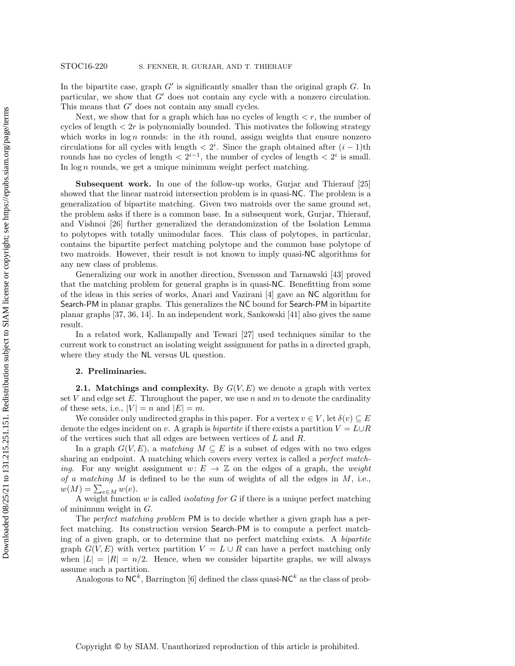In the bipartite case, graph  $G'$  is significantly smaller than the original graph  $G$ . In particular, we show that  $G'$  does not contain any cycle with a nonzero circulation. This means that  $G'$  does not contain any small cycles.

Next, we show that for a graph which has no cycles of length  $\lt r$ , the number of cycles of length  $\langle 2r \rangle$  is polynomially bounded. This motivates the following strategy which works in  $\log n$  rounds: in the *i*th round, assign weights that ensure nonzero circulations for all cycles with length  $\langle 2^i$ . Since the graph obtained after  $(i-1)$ th rounds has no cycles of length  $\langle 2^{i-1} \rangle$ , the number of cycles of length  $\langle 2^i \rangle$  is small. In  $\log n$  rounds, we get a unique minimum weight perfect matching.

Subsequent work. In one of the follow-up works, Gurjar and Thierauf [\[25\]](#page-16-8) showed that the linear matroid intersection problem is in quasi-NC. The problem is a generalization of bipartite matching. Given two matroids over the same ground set, the problem asks if there is a common base. In a subsequent work, Gurjar, Thierauf, and Vishnoi [\[26\]](#page-16-9) further generalized the derandomization of the Isolation Lemma to polytopes with totally unimodular faces. This class of polytopes, in particular, contains the bipartite perfect matching polytope and the common base polytope of two matroids. However, their result is not known to imply quasi-NC algorithms for any new class of problems.

Generalizing our work in another direction, Svensson and Tarnawski [\[43\]](#page-16-10) proved that the matching problem for general graphs is in quasi-NC. Benefitting from some of the ideas in this series of works, Anari and Vazirani [\[4\]](#page-15-9) gave an NC algorithm for Search-PM in planar graphs. This generalizes the NC bound for Search-PM in bipartite planar graphs [\[37,](#page-16-6) [36,](#page-16-7) [14\]](#page-15-4). In an independent work, Sankowski [\[41\]](#page-16-11) also gives the same result.

In a related work, Kallampally and Tewari [\[27\]](#page-16-12) used techniques similar to the current work to construct an isolating weight assignment for paths in a directed graph, where they study the NL versus UL question.

## 2. Preliminaries.

**2.1.** Matchings and complexity. By  $G(V, E)$  we denote a graph with vertex set  $V$  and edge set  $E$ . Throughout the paper, we use  $n$  and  $m$  to denote the cardinality of these sets, i.e.,  $|V| = n$  and  $|E| = m$ .

We consider only undirected graphs in this paper. For a vertex  $v \in V$ , let  $\delta(v) \subseteq E$ denote the edges incident on v. A graph is *bipartite* if there exists a partition  $V = L \cup R$ of the vertices such that all edges are between vertices of L and R.

In a graph  $G(V, E)$ , a matching  $M \subseteq E$  is a subset of edges with no two edges sharing an endpoint. A matching which covers every vertex is called a perfect matching. For any weight assignment  $w: E \to \mathbb{Z}$  on the edges of a graph, the weight of a matching M is defined to be the sum of weights of all the edges in  $M$ , i.e.,  $w(M) = \sum_{e \in M} w(e).$ 

A weight function  $w$  is called *isolating for*  $G$  if there is a unique perfect matching of minimum weight in  $G$ .

The *perfect matching problem* PM is to decide whether a given graph has a perfect matching. Its construction version Search-PM is to compute a perfect matching of a given graph, or to determine that no perfect matching exists. A bipartite graph  $G(V, E)$  with vertex partition  $V = L \cup R$  can have a perfect matching only when  $|L| = |R| = n/2$ . Hence, when we consider bipartite graphs, we will always assume such a partition.

Analogous to  $NC^k$ , Barrington [\[6\]](#page-15-10) defined the class quasi-N $C^k$  as the class of prob-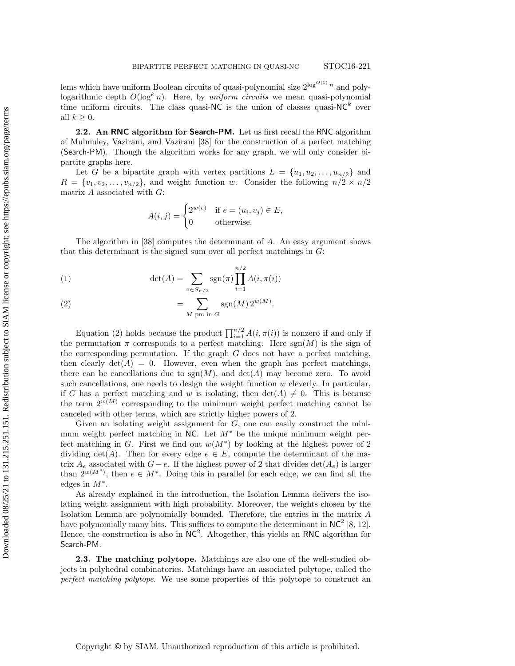lems which have uniform Boolean circuits of quasi-polynomial size  $2^{\log^{O(1)} n}$  and polylogarithmic depth  $O(\log^k n)$ . Here, by uniform circuits we mean quasi-polynomial time uniform circuits. The class quasi-NC is the union of classes quasi-NC<sup>k</sup> over all  $k > 0$ .

<span id="page-3-1"></span>2.2. An RNC algorithm for Search-PM. Let us first recall the RNC algorithm of Mulmuley, Vazirani, and Vazirani [\[38\]](#page-16-2) for the construction of a perfect matching (Search-PM). Though the algorithm works for any graph, we will only consider bipartite graphs here.

Let G be a bipartite graph with vertex partitions  $L = \{u_1, u_2, \ldots, u_{n/2}\}\$ and  $R = \{v_1, v_2, \ldots, v_{n/2}\},$  and weight function w. Consider the following  $n/2 \times n/2$ matrix  $A$  associated with  $G$ :

<span id="page-3-0"></span>
$$
A(i,j) = \begin{cases} 2^{w(e)} & \text{if } e = (u_i, v_j) \in E, \\ 0 & \text{otherwise.} \end{cases}
$$

The algorithm in [\[38\]](#page-16-2) computes the determinant of A. An easy argument shows that this determinant is the signed sum over all perfect matchings in  $G$ :

(1) 
$$
\det(A) = \sum_{\pi \in S_{n/2}} \text{sgn}(\pi) \prod_{i=1}^{n/2} A(i, \pi(i))
$$

(2) 
$$
= \sum_{M \text{ pm in } G} \text{sgn}(M) 2^{w(M)}.
$$

Equation [\(2\)](#page-3-0) holds because the product  $\prod_{i=1}^{n/2} A(i, \pi(i))$  is nonzero if and only if the permutation  $\pi$  corresponds to a perfect matching. Here sgn(M) is the sign of the corresponding permutation. If the graph  $G$  does not have a perfect matching, then clearly  $\det(A) = 0$ . However, even when the graph has perfect matchings, there can be cancellations due to  $sgn(M)$ , and  $det(A)$  may become zero. To avoid such cancellations, one needs to design the weight function  $w$  cleverly. In particular, if G has a perfect matching and w is isolating, then  $\det(A) \neq 0$ . This is because the term  $2^{w(M)}$  corresponding to the minimum weight perfect matching cannot be canceled with other terms, which are strictly higher powers of 2.

Given an isolating weight assignment for  $G$ , one can easily construct the minimum weight perfect matching in NC. Let  $M^*$  be the unique minimum weight perfect matching in G. First we find out  $w(M^*)$  by looking at the highest power of 2 dividing  $\det(A)$ . Then for every edge  $e \in E$ , compute the determinant of the matrix  $A_e$  associated with  $G - e$ . If the highest power of 2 that divides det( $A_e$ ) is larger than  $2^{w(M^*)}$ , then  $e \in M^*$ . Doing this in parallel for each edge, we can find all the edges in  $M^*$ .

As already explained in the introduction, the Isolation Lemma delivers the isolating weight assignment with high probability. Moreover, the weights chosen by the Isolation Lemma are polynomially bounded. Therefore, the entries in the matrix A have polynomially many bits. This suffices to compute the determinant in  $NC^2$  [\[8,](#page-15-11) [12\]](#page-15-12). Hence, the construction is also in  $NC^2$ . Altogether, this yields an RNC algorithm for Search-PM.

2.3. The matching polytope. Matchings are also one of the well-studied objects in polyhedral combinatorics. Matchings have an associated polytope, called the perfect matching polytope. We use some properties of this polytope to construct an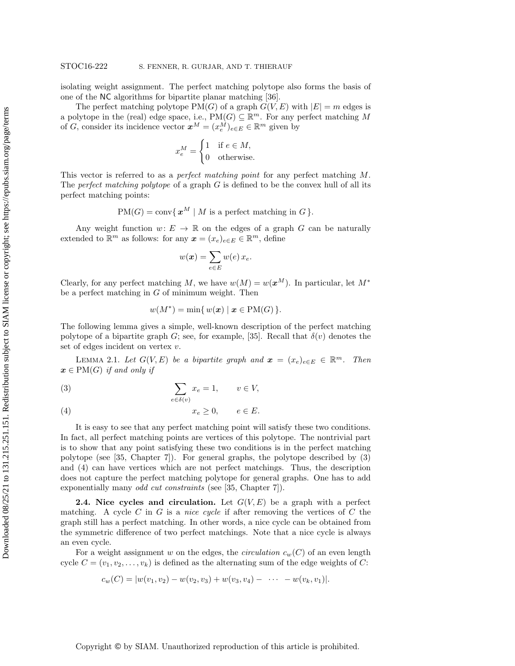isolating weight assignment. The perfect matching polytope also forms the basis of one of the NC algorithms for bipartite planar matching [\[36\]](#page-16-7).

The perfect matching polytope  $PM(G)$  of a graph  $G(V, E)$  with  $|E| = m$  edges is a polytope in the (real) edge space, i.e.,  $PM(G) \subseteq \mathbb{R}^m$ . For any perfect matching M of G, consider its incidence vector  $x^M = (x_e^M)_{e \in E} \in \mathbb{R}^m$  given by

$$
x_e^M = \begin{cases} 1 & \text{if } e \in M, \\ 0 & \text{otherwise.} \end{cases}
$$

This vector is referred to as a *perfect matching point* for any perfect matching M. The perfect matching polytope of a graph  $G$  is defined to be the convex hull of all its perfect matching points:

$$
PM(G) = \text{conv}\{ \mathbf{x}^M \mid M \text{ is a perfect matching in } G \}.
$$

Any weight function  $w: E \to \mathbb{R}$  on the edges of a graph G can be naturally extended to  $\mathbb{R}^m$  as follows: for any  $\boldsymbol{x} = (x_e)_{e \in E} \in \mathbb{R}^m$ , define

$$
w(\boldsymbol{x}) = \sum_{e \in E} w(e) \, x_e.
$$

Clearly, for any perfect matching M, we have  $w(M) = w(x^M)$ . In particular, let  $M^*$ be a perfect matching in  $G$  of minimum weight. Then

<span id="page-4-0"></span>
$$
w(M^*) = \min\{w(\boldsymbol{x}) \mid \boldsymbol{x} \in \text{PM}(G)\}.
$$

The following lemma gives a simple, well-known description of the perfect matching polytope of a bipartite graph G; see, for example, [\[35\]](#page-16-13). Recall that  $\delta(v)$  denotes the set of edges incident on vertex v.

<span id="page-4-1"></span>LEMMA 2.1. Let  $G(V, E)$  be a bipartite graph and  $\boldsymbol{x} = (x_e)_{e \in E} \in \mathbb{R}^m$ . Then  $x \in PM(G)$  if and only if

(3) 
$$
\sum_{e \in \delta(v)} x_e = 1, \qquad v \in V,
$$

$$
(4) \t x_e \ge 0, \t e \in E.
$$

It is easy to see that any perfect matching point will satisfy these two conditions. In fact, all perfect matching points are vertices of this polytope. The nontrivial part is to show that any point satisfying these two conditions is in the perfect matching polytope (see [\[35,](#page-16-13) Chapter 7]). For general graphs, the polytope described by [\(3\)](#page-4-0) and [\(4\)](#page-4-0) can have vertices which are not perfect matchings. Thus, the description does not capture the perfect matching polytope for general graphs. One has to add exponentially many *odd cut constraints* (see [\[35,](#page-16-13) Chapter 7]).

**2.4. Nice cycles and circulation.** Let  $G(V, E)$  be a graph with a perfect matching. A cycle C in G is a nice cycle if after removing the vertices of C the graph still has a perfect matching. In other words, a nice cycle can be obtained from the symmetric difference of two perfect matchings. Note that a nice cycle is always an even cycle.

For a weight assignment w on the edges, the *circulation*  $c_w(C)$  of an even length cycle  $C = (v_1, v_2, \ldots, v_k)$  is defined as the alternating sum of the edge weights of C:

$$
c_w(C) = |w(v_1, v_2) - w(v_2, v_3) + w(v_3, v_4) - \cdots - w(v_k, v_1)|.
$$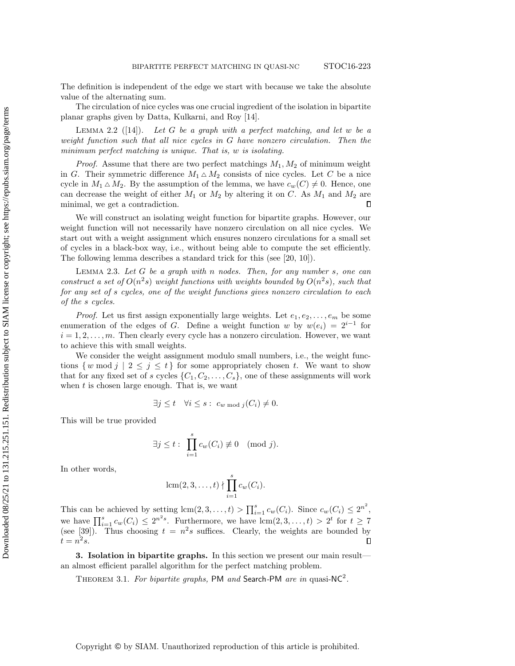The definition is independent of the edge we start with because we take the absolute value of the alternating sum.

The circulation of nice cycles was one crucial ingredient of the isolation in bipartite planar graphs given by Datta, Kulkarni, and Roy [\[14\]](#page-15-4).

<span id="page-5-1"></span>LEMMA 2.2 ([\[14\]](#page-15-4)). Let G be a graph with a perfect matching, and let w be a weight function such that all nice cycles in G have nonzero circulation. Then the minimum perfect matching is unique. That is, w is isolating.

*Proof.* Assume that there are two perfect matchings  $M_1, M_2$  of minimum weight in G. Their symmetric difference  $M_1 \triangle M_2$  consists of nice cycles. Let C be a nice cycle in  $M_1 \triangle M_2$ . By the assumption of the lemma, we have  $c_w(C) \neq 0$ . Hence, one can decrease the weight of either  $M_1$  or  $M_2$  by altering it on C. As  $M_1$  and  $M_2$  are minimal, we get a contradiction.  $\Box$ 

We will construct an isolating weight function for bipartite graphs. However, our weight function will not necessarily have nonzero circulation on all nice cycles. We start out with a weight assignment which ensures nonzero circulations for a small set of cycles in a black-box way, i.e., without being able to compute the set efficiently. The following lemma describes a standard trick for this (see [\[20,](#page-16-14) [10\]](#page-15-7)).

<span id="page-5-2"></span>LEMMA 2.3. Let  $G$  be a graph with n nodes. Then, for any number  $s$ , one can construct a set of  $O(n^2s)$  weight functions with weights bounded by  $O(n^2s)$ , such that for any set of s cycles, one of the weight functions gives nonzero circulation to each of the s cycles.

*Proof.* Let us first assign exponentially large weights. Let  $e_1, e_2, \ldots, e_m$  be some enumeration of the edges of G. Define a weight function w by  $w(e_i) = 2^{i-1}$  for  $i = 1, 2, \ldots, m$ . Then clearly every cycle has a nonzero circulation. However, we want to achieve this with small weights.

We consider the weight assignment modulo small numbers, i.e., the weight functions  $\{w \mod j \mid 2 \leq j \leq t\}$  for some appropriately chosen t. We want to show that for any fixed set of s cycles  $\{C_1, C_2, \ldots, C_s\}$ , one of these assignments will work when  $t$  is chosen large enough. That is, we want

$$
\exists j \leq t \quad \forall i \leq s : c_{w \bmod j}(C_i) \neq 0.
$$

This will be true provided

$$
\exists j \leq t : \prod_{i=1}^{s} c_w(C_i) \not\equiv 0 \pmod{j}.
$$

In other words,

$$
\operatorname{lcm}(2,3,\ldots,t) \nmid \prod_{i=1}^s c_w(C_i).
$$

This can be achieved by setting  $\text{lcm}(2,3,\ldots,t) > \prod_{i=1}^{s} c_w(C_i)$ . Since  $c_w(C_i) \leq 2^{n^2}$ , we have  $\prod_{i=1}^{s} c_w(C_i) \leq 2^{n^2 s}$ . Furthermore, we have  $lcm(2, 3, ..., t) > 2^t$  for  $t \geq 7$ (see [\[39\]](#page-16-15)). Thus choosing  $t = n^2 s$  suffices. Clearly, the weights are bounded by  $t = n^2 s$ .  $\Box$ 

<span id="page-5-0"></span>3. Isolation in bipartite graphs. In this section we present our main result an almost efficient parallel algorithm for the perfect matching problem.

<span id="page-5-3"></span>THEOREM 3.1. For bipartite graphs, PM and Search-PM are in quasi-NC<sup>2</sup>.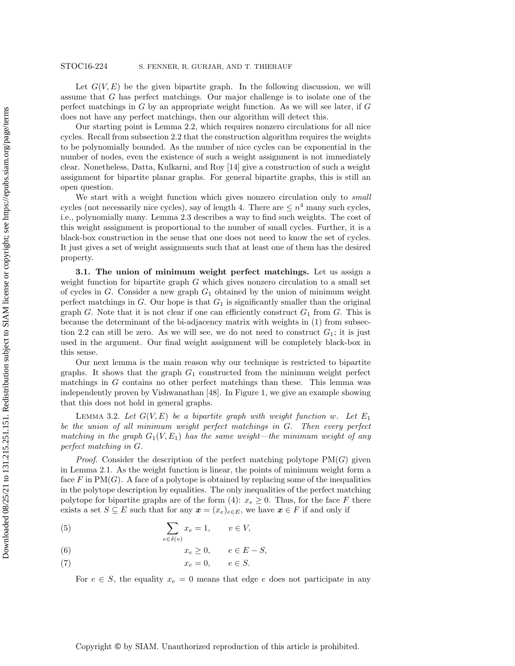Let  $G(V, E)$  be the given bipartite graph. In the following discussion, we will assume that G has perfect matchings. Our major challenge is to isolate one of the perfect matchings in  $G$  by an appropriate weight function. As we will see later, if  $G$ does not have any perfect matchings, then our algorithm will detect this.

Our starting point is [Lemma 2.2,](#page-5-1) which requires nonzero circulations for all nice cycles. Recall from [subsection 2.2](#page-3-1) that the construction algorithm requires the weights to be polynomially bounded. As the number of nice cycles can be exponential in the number of nodes, even the existence of such a weight assignment is not immediately clear. Nonetheless, Datta, Kulkarni, and Roy [\[14\]](#page-15-4) give a construction of such a weight assignment for bipartite planar graphs. For general bipartite graphs, this is still an open question.

We start with a weight function which gives nonzero circulation only to *small* cycles (not necessarily nice cycles), say of length 4. There are  $\leq n^4$  many such cycles, i.e., polynomially many. [Lemma 2.3](#page-5-2) describes a way to find such weights. The cost of this weight assignment is proportional to the number of small cycles. Further, it is a black-box construction in the sense that one does not need to know the set of cycles. It just gives a set of weight assignments such that at least one of them has the desired property.

3.1. The union of minimum weight perfect matchings. Let us assign a weight function for bipartite graph  $G$  which gives nonzero circulation to a small set of cycles in G. Consider a new graph  $G_1$  obtained by the union of minimum weight perfect matchings in  $G$ . Our hope is that  $G_1$  is significantly smaller than the original graph G. Note that it is not clear if one can efficiently construct  $G_1$  from G. This is because the determinant of the bi-adjacency matrix with weights in [\(1\)](#page-3-0) from [subsec](#page-3-1)[tion 2.2](#page-3-1) can still be zero. As we will see, we do not need to construct  $G_1$ ; it is just used in the argument. Our final weight assignment will be completely black-box in this sense.

Our next lemma is the main reason why our technique is restricted to bipartite graphs. It shows that the graph  $G_1$  constructed from the minimum weight perfect matchings in G contains no other perfect matchings than these. This lemma was independently proven by Vishwanathan [\[48\]](#page-17-2). In [Figure 1,](#page-7-0) we give an example showing that this does not hold in general graphs.

<span id="page-6-0"></span>LEMMA 3.2. Let  $G(V, E)$  be a bipartite graph with weight function w. Let  $E_1$ be the union of all minimum weight perfect matchings in G. Then every perfect matching in the graph  $G_1(V, E_1)$  has the same weight—the minimum weight of any perfect matching in G.

*Proof.* Consider the description of the perfect matching polytope  $PM(G)$  given in [Lemma 2.1.](#page-4-1) As the weight function is linear, the points of minimum weight form a face F in  $PM(G)$ . A face of a polytope is obtained by replacing some of the inequalities in the polytope description by equalities. The only inequalities of the perfect matching polytope for bipartite graphs are of the form [\(4\)](#page-4-0):  $x_e \geq 0$ . Thus, for the face F there exists a set  $S \subseteq E$  such that for any  $\mathbf{x} = (x_e)_{e \in E}$ , we have  $\mathbf{x} \in F$  if and only if

<span id="page-6-1"></span>(5) 
$$
\sum_{e \in \delta(v)} x_e = 1, \qquad v \in V,
$$

$$
(6) \t x_e \ge 0, \t e \in E - S,
$$

$$
(7) \t\t x_e = 0, \t e \in S.
$$

For  $e \in S$ , the equality  $x_e = 0$  means that edge e does not participate in any

Copyright © by SIAM. Unauthorized reproduction of this article is prohibited.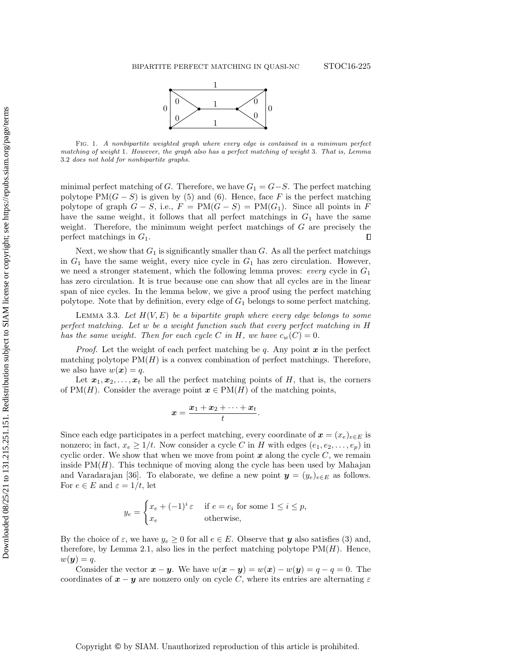

<span id="page-7-0"></span>Fig. 1. A nonbipartite weighted graph where every edge is contained in a minimum perfect matching of weight 1. However, the graph also has a perfect matching of weight 3. That is, Lemma [3.2](#page-6-0) does not hold for nonbipartite graphs.

minimal perfect matching of G. Therefore, we have  $G_1 = G - S$ . The perfect matching polytope PM( $G - S$ ) is given by [\(5\)](#page-6-1) and [\(6\)](#page-6-1). Hence, face F is the perfect matching polytope of graph  $G - S$ , i.e.,  $F = PM(G - S) = PM(G<sub>1</sub>)$ . Since all points in F have the same weight, it follows that all perfect matchings in  $G_1$  have the same weight. Therefore, the minimum weight perfect matchings of G are precisely the perfect matchings in  $G_1$ .  $\Box$ 

Next, we show that  $G_1$  is significantly smaller than G. As all the perfect matchings in  $G_1$  have the same weight, every nice cycle in  $G_1$  has zero circulation. However, we need a stronger statement, which the following lemma proves: every cycle in  $G_1$ has zero circulation. It is true because one can show that all cycles are in the linear span of nice cycles. In the lemma below, we give a proof using the perfect matching polytope. Note that by definition, every edge of  $G_1$  belongs to some perfect matching.

<span id="page-7-1"></span>LEMMA 3.3. Let  $H(V, E)$  be a bipartite graph where every edge belongs to some perfect matching. Let w be a weight function such that every perfect matching in H has the same weight. Then for each cycle C in H, we have  $c_w(C) = 0$ .

*Proof.* Let the weight of each perfect matching be q. Any point  $x$  in the perfect matching polytope  $PM(H)$  is a convex combination of perfect matchings. Therefore, we also have  $w(x) = q$ .

Let  $x_1, x_2, \ldots, x_t$  be all the perfect matching points of H, that is, the corners of PM(H). Consider the average point  $x \in PM(H)$  of the matching points,

$$
x=\frac{x_1+x_2+\cdots+x_t}{t}.
$$

Since each edge participates in a perfect matching, every coordinate of  $x = (x_e)_{e \in E}$  is nonzero; in fact,  $x_e \geq 1/t$ . Now consider a cycle C in H with edges  $(e_1, e_2, \ldots, e_p)$  in cyclic order. We show that when we move from point  $x$  along the cycle  $C$ , we remain inside  $PM(H)$ . This technique of moving along the cycle has been used by Mahajan and Varadarajan [\[36\]](#page-16-7). To elaborate, we define a new point  $y = (y_e)_{e \in E}$  as follows. For  $e \in E$  and  $\varepsilon = 1/t$ , let

$$
y_e = \begin{cases} x_e + (-1)^i \varepsilon & \text{if } e = e_i \text{ for some } 1 \le i \le p, \\ x_e & \text{otherwise,} \end{cases}
$$

By the choice of  $\varepsilon$ , we have  $y_e \ge 0$  for all  $e \in E$ . Observe that y also satisfies [\(3\)](#page-4-0) and, therefore, by [Lemma 2.1,](#page-4-1) also lies in the perfect matching polytope  $PM(H)$ . Hence,  $w(\boldsymbol{y}) = q.$ 

Consider the vector  $x - y$ . We have  $w(x - y) = w(x) - w(y) = q - q = 0$ . The coordinates of  $x - y$  are nonzero only on cycle C, where its entries are alternating  $\varepsilon$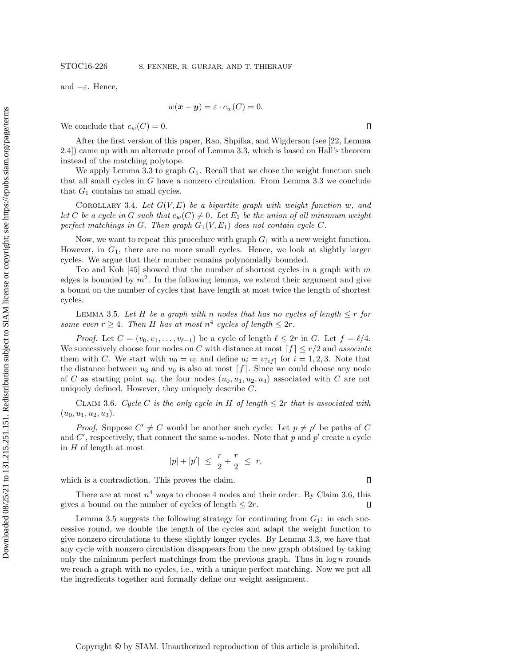and  $-\varepsilon$ . Hence,

$$
w(\boldsymbol{x} - \boldsymbol{y}) = \varepsilon \cdot c_w(C) = 0.
$$

We conclude that  $c_w(C) = 0$ .

After the first version of this paper, Rao, Shpilka, and Wigderson (see [\[22,](#page-16-5) Lemma 2.4]) came up with an alternate proof of [Lemma 3.3,](#page-7-1) which is based on Hall's theorem instead of the matching polytope.

We apply [Lemma 3.3](#page-7-1) to graph  $G_1$ . Recall that we chose the weight function such that all small cycles in G have a nonzero circulation. From [Lemma 3.3](#page-7-1) we conclude that  $G_1$  contains no small cycles.

COROLLARY 3.4. Let  $G(V, E)$  be a bipartite graph with weight function w, and let C be a cycle in G such that  $c_w(C) \neq 0$ . Let  $E_1$  be the union of all minimum weight perfect matchings in G. Then graph  $G_1(V, E_1)$  does not contain cycle C.

Now, we want to repeat this procedure with graph  $G_1$  with a new weight function. However, in  $G_1$ , there are no more small cycles. Hence, we look at slightly larger cycles. We argue that their number remains polynomially bounded.

Teo and Koh [\[45\]](#page-17-3) showed that the number of shortest cycles in a graph with  $m$ edges is bounded by  $m^2$ . In the following lemma, we extend their argument and give a bound on the number of cycles that have length at most twice the length of shortest cycles.

<span id="page-8-1"></span>LEMMA 3.5. Let H be a graph with n nodes that has no cycles of length  $\leq r$  for some even  $r \geq 4$ . Then H has at most  $n^4$  cycles of length  $\leq 2r$ .

*Proof.* Let  $C = (v_0, v_1, \ldots, v_{\ell-1})$  be a cycle of length  $\ell \leq 2r$  in G. Let  $f = \ell/4$ . We successively choose four nodes on C with distance at most  $f \mid \leq r/2$  and associate them with C. We start with  $u_0 = v_0$  and define  $u_i = v_{[if]}$  for  $i = 1, 2, 3$ . Note that the distance between  $u_3$  and  $u_0$  is also at most  $f$ . Since we could choose any node of C as starting point  $u_0$ , the four nodes  $(u_0, u_1, u_2, u_3)$  associated with C are not uniquely defined. However, they uniquely describe C.

CLAIM 3.6. Cycle C is the only cycle in H of length  $\leq 2r$  that is associated with  $(u_0, u_1, u_2, u_3).$ 

*Proof.* Suppose  $C' \neq C$  would be another such cycle. Let  $p \neq p'$  be paths of C and  $C'$ , respectively, that connect the same u-nodes. Note that  $p$  and  $p'$  create a cycle in  $H$  of length at most

<span id="page-8-0"></span>
$$
|p| + |p'| \ \leq \ \frac{r}{2} + \frac{r}{2} \ \leq \ r,
$$

which is a contradiction. This proves the claim.

There are at most  $n^4$  ways to choose 4 nodes and their order. By [Claim 3.6,](#page-8-0) this gives a bound on the number of cycles of length  $\leq 2r$ . П

[Lemma 3.5](#page-8-1) suggests the following strategy for continuing from  $G_1$ : in each successive round, we double the length of the cycles and adapt the weight function to give nonzero circulations to these slightly longer cycles. By [Lemma 3.3,](#page-7-1) we have that any cycle with nonzero circulation disappears from the new graph obtained by taking only the minimum perfect matchings from the previous graph. Thus in  $log n$  rounds we reach a graph with no cycles, i.e., with a unique perfect matching. Now we put all the ingredients together and formally define our weight assignment.

 $\Box$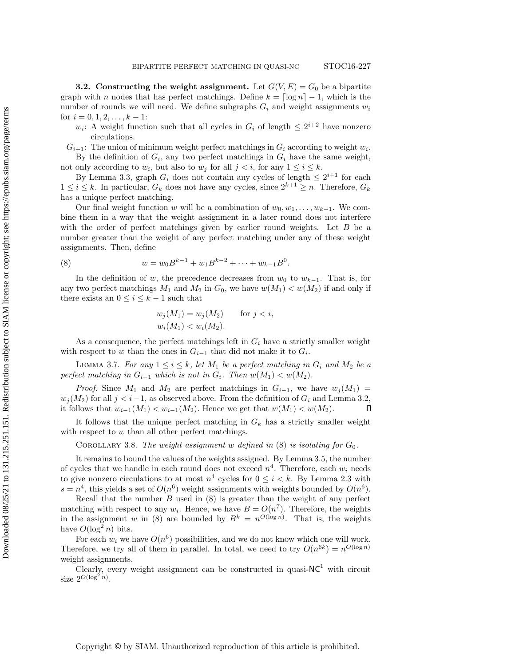<span id="page-9-1"></span>**3.2.** Constructing the weight assignment. Let  $G(V, E) = G_0$  be a bipartite graph with n nodes that has perfect matchings. Define  $k = \lceil \log n \rceil - 1$ , which is the number of rounds we will need. We define subgraphs  $G_i$  and weight assignments  $w_i$ for  $i = 0, 1, 2, \ldots, k - 1$ :

- $w_i$ : A weight function such that all cycles in  $G_i$  of length  $\leq 2^{i+2}$  have nonzero circulations.
- $G_{i+1}$ : The union of minimum weight perfect matchings in  $G_i$  according to weight  $w_i$ . By the definition of  $G_i$ , any two perfect matchings in  $G_i$  have the same weight,

not only according to  $w_i$ , but also to  $w_j$  for all  $j < i$ , for any  $1 \le i \le k$ .

By [Lemma 3.3,](#page-7-1) graph  $G_i$  does not contain any cycles of length  $\leq 2^{i+1}$  for each  $1 \leq i \leq k$ . In particular,  $G_k$  does not have any cycles, since  $2^{k+1} \geq n$ . Therefore,  $G_k$ has a unique perfect matching.

Our final weight function w will be a combination of  $w_0, w_1, \ldots, w_{k-1}$ . We combine them in a way that the weight assignment in a later round does not interfere with the order of perfect matchings given by earlier round weights. Let B be a number greater than the weight of any perfect matching under any of these weight assignments. Then, define

(8) 
$$
w = w_0 B^{k-1} + w_1 B^{k-2} + \dots + w_{k-1} B^0.
$$

In the definition of w, the precedence decreases from  $w_0$  to  $w_{k-1}$ . That is, for any two perfect matchings  $M_1$  and  $M_2$  in  $G_0$ , we have  $w(M_1) < w(M_2)$  if and only if there exists an  $0 \leq i \leq k-1$  such that

<span id="page-9-0"></span>
$$
w_j(M_1) = w_j(M_2)
$$
 for  $j < i$ ,  
\n $w_i(M_1) < w_i(M_2)$ .

As a consequence, the perfect matchings left in  $G_i$  have a strictly smaller weight with respect to w than the ones in  $G_{i-1}$  that did not make it to  $G_i$ .

LEMMA 3.7. For any  $1 \leq i \leq k$ , let  $M_1$  be a perfect matching in  $G_i$  and  $M_2$  be a perfect matching in  $G_{i-1}$  which is not in  $G_i$ . Then  $w(M_1) < w(M_2)$ .

*Proof.* Since  $M_1$  and  $M_2$  are perfect matchings in  $G_{i-1}$ , we have  $w_j(M_1)$  $w_i(M_2)$  for all  $j < i-1$ , as observed above. From the definition of  $G_i$  and [Lemma 3.2,](#page-6-0) it follows that  $w_{i-1}(M_1) < w_{i-1}(M_2)$ . Hence we get that  $w(M_1) < w(M_2)$ .  $\Box$ 

It follows that the unique perfect matching in  $G_k$  has a strictly smaller weight with respect to  $w$  than all other perfect matchings.

COROLLARY 3.8. The weight assignment w defined in  $(8)$  is isolating for  $G_0$ .

It remains to bound the values of the weights assigned. By [Lemma 3.5,](#page-8-1) the number of cycles that we handle in each round does not exceed  $n^4$ . Therefore, each  $w_i$  needs to give nonzero circulations to at most  $n^4$  cycles for  $0 \le i \le k$ . By [Lemma 2.3](#page-5-2) with  $s = n<sup>4</sup>$ , this yields a set of  $O(n<sup>6</sup>)$  weight assignments with weights bounded by  $O(n<sup>6</sup>)$ .

Recall that the number  $B$  used in  $(8)$  is greater than the weight of any perfect matching with respect to any  $w_i$ . Hence, we have  $B = O(n^7)$ . Therefore, the weights in the assignment w in [\(8\)](#page-9-0) are bounded by  $B^k = n^{O(\log n)}$ . That is, the weights have  $O(\log^2 n)$  bits.

For each  $w_i$  we have  $O(n^6)$  possibilities, and we do not know which one will work. Therefore, we try all of them in parallel. In total, we need to try  $O(n^{6k}) = n^{O(\log n)}$ weight assignments.

Clearly, every weight assignment can be constructed in quasi- $NC<sup>1</sup>$  with circuit size  $2^{O(\log^2 n)}$ .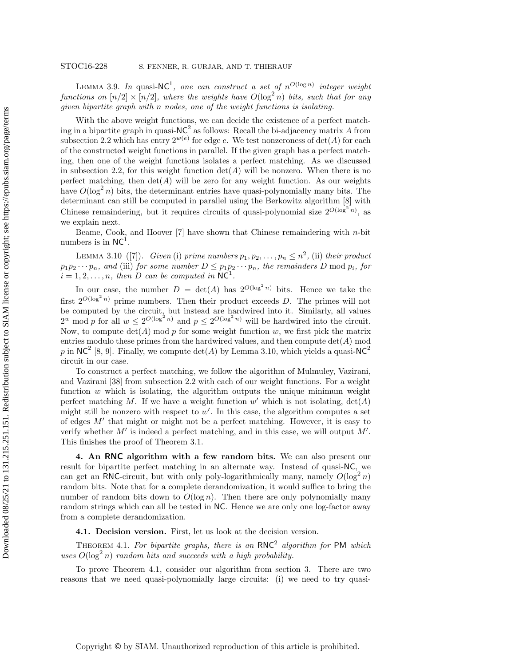LEMMA 3.9. In quasi-NC<sup>1</sup>, one can construct a set of  $n^{O(\log n)}$  integer weight functions on  $[n/2] \times [n/2]$ , where the weights have  $O(\log^2 n)$  bits, such that for any given bipartite graph with n nodes, one of the weight functions is isolating.

With the above weight functions, we can decide the existence of a perfect matching in a bipartite graph in quasi- $NC^2$  as follows: Recall the bi-adjacency matrix A from [subsection 2.2](#page-3-1) which has entry  $2^{w(e)}$  for edge e. We test nonzeroness of  $det(A)$  for each of the constructed weight functions in parallel. If the given graph has a perfect matching, then one of the weight functions isolates a perfect matching. As we discussed in [subsection 2.2,](#page-3-1) for this weight function  $det(A)$  will be nonzero. When there is no perfect matching, then  $\det(A)$  will be zero for any weight function. As our weights have  $O(\log^2 n)$  bits, the determinant entries have quasi-polynomially many bits. The determinant can still be computed in parallel using the Berkowitz algorithm [\[8\]](#page-15-11) with Chinese remaindering, but it requires circuits of quasi-polynomial size  $2^{O(\log^2 n)}$ , as we explain next.

<span id="page-10-1"></span>Beame, Cook, and Hoover  $[7]$  have shown that Chinese remaindering with  $n$ -bit numbers is in  $NC^1$ .

LEMMA 3.10 ([\[7\]](#page-15-13)). Given (i) prime numbers  $p_1, p_2, \ldots, p_n \leq n^2$ , (ii) their product  $p_1p_2\cdots p_n$ , and (iii) for some number  $D \leq p_1p_2\cdots p_n$ , the remainders D mod  $p_i$ , for  $i = 1, 2, \ldots, n$ , then D can be computed in NC<sup>1</sup>.

In our case, the number  $D = \det(A)$  has  $2^{O(\log^2 n)}$  bits. Hence we take the first  $2^{O(\log^2 n)}$  prime numbers. Then their product exceeds D. The primes will not be computed by the circuit, but instead are hardwired into it. Similarly, all values  $2^w \mod p$  for all  $w \leq 2^{O(\log^2 n)}$  and  $p \leq 2^{O(\log^2 n)}$  will be hardwired into the circuit. Now, to compute  $\det(A)$  mod p for some weight function w, we first pick the matrix entries modulo these primes from the hardwired values, and then compute  $\det(A)$  mod p in NC<sup>2</sup> [\[8,](#page-15-11) [9\]](#page-15-14). Finally, we compute  $\det(A)$  by [Lemma 3.10,](#page-10-1) which yields a quasi-NC<sup>2</sup> circuit in our case.

To construct a perfect matching, we follow the algorithm of Mulmuley, Vazirani, and Vazirani [\[38\]](#page-16-2) from [subsection 2.2](#page-3-1) with each of our weight functions. For a weight function  $w$  which is isolating, the algorithm outputs the unique minimum weight perfect matching M. If we have a weight function  $w'$  which is not isolating,  $det(A)$ might still be nonzero with respect to  $w'$ . In this case, the algorithm computes a set of edges  $M'$  that might or might not be a perfect matching. However, it is easy to verify whether  $M'$  is indeed a perfect matching, and in this case, we will output  $M'$ . This finishes the proof of [Theorem 3.1.](#page-5-3)

<span id="page-10-0"></span>4. An RNC algorithm with a few random bits. We can also present our result for bipartite perfect matching in an alternate way. Instead of quasi-NC, we can get an RNC-circuit, but with only poly-logarithmically many, namely  $O(\log^2 n)$ random bits. Note that for a complete derandomization, it would suffice to bring the number of random bits down to  $O(\log n)$ . Then there are only polynomially many random strings which can all be tested in NC. Hence we are only one log-factor away from a complete derandomization.

4.1. Decision version. First, let us look at the decision version.

<span id="page-10-2"></span>THEOREM 4.1. For bipartite graphs, there is an RNC<sup>2</sup> algorithm for PM which uses  $O(\log^2 n)$  random bits and succeeds with a high probability.

To prove [Theorem 4.1,](#page-10-2) consider our algorithm from [section 3.](#page-5-0) There are two reasons that we need quasi-polynomially large circuits: (i) we need to try quasi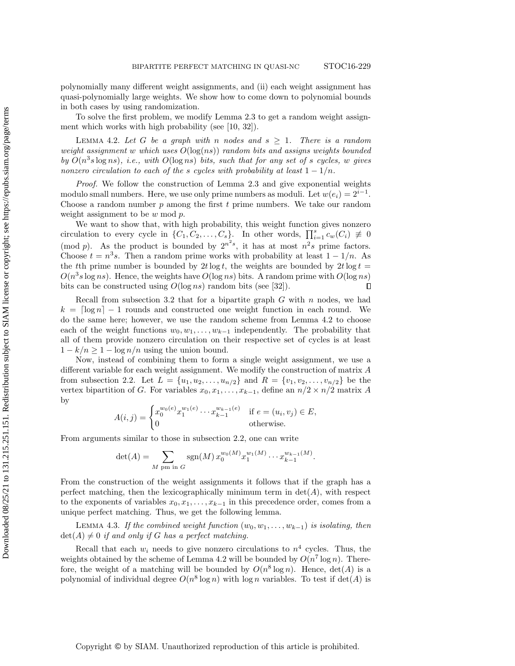polynomially many different weight assignments, and (ii) each weight assignment has quasi-polynomially large weights. We show how to come down to polynomial bounds in both cases by using randomization.

To solve the first problem, we modify [Lemma 2.3](#page-5-2) to get a random weight assignment which works with high probability (see [\[10,](#page-15-7) [32\]](#page-16-16)).

<span id="page-11-0"></span>LEMMA 4.2. Let G be a graph with n nodes and  $s \geq 1$ . There is a random weight assignment w which uses  $O(\log(ns))$  random bits and assigns weights bounded by  $O(n^3s \log ns)$ , i.e., with  $O(\log ns)$  bits, such that for any set of s cycles, w gives nonzero circulation to each of the s cycles with probability at least  $1 - 1/n$ .

Proof. We follow the construction of [Lemma 2.3](#page-5-2) and give exponential weights modulo small numbers. Here, we use only prime numbers as moduli. Let  $w(e_i) = 2^{i-1}$ . Choose a random number  $p$  among the first  $t$  prime numbers. We take our random weight assignment to be  $w \mod p$ .

We want to show that, with high probability, this weight function gives nonzero circulation to every cycle in  $\{C_1, C_2, \ldots, C_s\}$ . In other words,  $\prod_{i=1}^s c_w(C_i) \neq 0$ (mod p). As the product is bounded by  $2^{n^2s}$ , it has at most  $n^2s$  prime factors. Choose  $t = n^3 s$ . Then a random prime works with probability at least  $1 - 1/n$ . As the tth prime number is bounded by  $2t \log t$ , the weights are bounded by  $2t \log t =$  $O(n^3s \log ns)$ . Hence, the weights have  $O(\log ns)$  bits. A random prime with  $O(\log ns)$ bits can be constructed using  $O(\log ns)$  random bits (see [\[32\]](#page-16-16)).  $\Box$ 

Recall from [subsection 3.2](#page-9-1) that for a bipartite graph  $G$  with  $n$  nodes, we had  $k = \lceil \log n \rceil - 1$  rounds and constructed one weight function in each round. We do the same here; however, we use the random scheme from [Lemma 4.2](#page-11-0) to choose each of the weight functions  $w_0, w_1, \ldots, w_{k-1}$  independently. The probability that all of them provide nonzero circulation on their respective set of cycles is at least  $1 - k/n \geq 1 - \log n/n$  using the union bound.

Now, instead of combining them to form a single weight assignment, we use a different variable for each weight assignment. We modify the construction of matrix A from [subsection 2.2.](#page-3-1) Let  $L = \{u_1, u_2, \ldots, u_{n/2}\}\$ and  $R = \{v_1, v_2, \ldots, v_{n/2}\}\$ be the vertex bipartition of G. For variables  $x_0, x_1, \ldots, x_{k-1}$ , define an  $n/2 \times n/2$  matrix A by

$$
A(i,j) = \begin{cases} x_0^{w_0(e)} x_1^{w_1(e)} \cdots x_{k-1}^{w_{k-1}(e)} & \text{if } e = (u_i, v_j) \in E, \\ 0 & \text{otherwise.} \end{cases}
$$

From arguments similar to those in [subsection 2.2,](#page-3-1) one can write

$$
\det(A) = \sum_{M \text{ pm in } G} \text{sgn}(M) x_0^{w_0(M)} x_1^{w_1(M)} \cdots x_{k-1}^{w_{k-1}(M)}.
$$

From the construction of the weight assignments it follows that if the graph has a perfect matching, then the lexicographically minimum term in  $\det(A)$ , with respect to the exponents of variables  $x_0, x_1, \ldots, x_{k-1}$  in this precedence order, comes from a unique perfect matching. Thus, we get the following lemma.

LEMMA 4.3. If the combined weight function  $(w_0, w_1, \ldots, w_{k-1})$  is isolating, then  $\det(A) \neq 0$  if and only if G has a perfect matching.

Recall that each  $w_i$  needs to give nonzero circulations to  $n^4$  cycles. Thus, the weights obtained by the scheme of [Lemma 4.2](#page-11-0) will be bounded by  $O(n^7 \log n)$ . Therefore, the weight of a matching will be bounded by  $O(n^8 \log n)$ . Hence,  $\det(A)$  is a polynomial of individual degree  $O(n^8 \log n)$  with  $\log n$  variables. To test if  $\det(A)$  is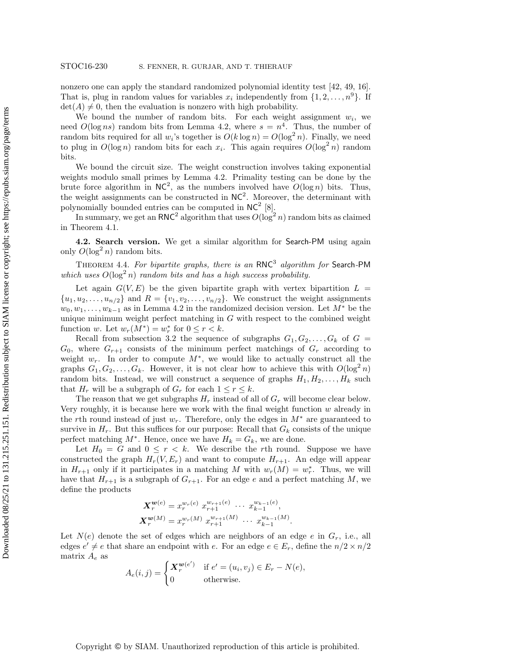nonzero one can apply the standard randomized polynomial identity test [\[42,](#page-16-17) [49,](#page-17-4) [16\]](#page-15-15). That is, plug in random values for variables  $x_i$  independently from  $\{1, 2, \ldots, n^9\}$ . If  $\det(A) \neq 0$ , then the evaluation is nonzero with high probability.

We bound the number of random bits. For each weight assignment  $w_i$ , we need  $O(\log ns)$  random bits from [Lemma 4.2,](#page-11-0) where  $s = n^4$ . Thus, the number of random bits required for all  $w_i$ 's together is  $O(k \log n) = O(\log^2 n)$ . Finally, we need to plug in  $O(\log n)$  random bits for each  $x_i$ . This again requires  $O(\log^2 n)$  random bits.

We bound the circuit size. The weight construction involves taking exponential weights modulo small primes by [Lemma 4.2.](#page-11-0) Primality testing can be done by the brute force algorithm in  $NC^2$ , as the numbers involved have  $O(\log n)$  bits. Thus, the weight assignments can be constructed in  $NC^2$ . Moreover, the determinant with polynomially bounded entries can be computed in  $NC^2$  [\[8\]](#page-15-11).

In summary, we get an RNC<sup>2</sup> algorithm that uses  $O(\log^2 n)$  random bits as claimed in [Theorem 4.1.](#page-10-2)

4.2. Search version. We get a similar algorithm for Search-PM using again only  $O(\log^2 n)$  random bits.

THEOREM 4.4. For bipartite graphs, there is an  $RNC<sup>3</sup>$  algorithm for Search-PM which uses  $O(\log^2 n)$  random bits and has a high success probability.

Let again  $G(V, E)$  be the given bipartite graph with vertex bipartition  $L =$  ${u_1, u_2, \ldots, u_{n/2}}$  and  $R = {v_1, v_2, \ldots, v_{n/2}}$ . We construct the weight assignments  $w_0, w_1, \ldots, w_{k-1}$  as in [Lemma 4.2](#page-11-0) in the randomized decision version. Let  $M^*$  be the unique minimum weight perfect matching in  $G$  with respect to the combined weight function w. Let  $w_r(M^*) = w_r^*$  for  $0 \le r < k$ .

Recall from [subsection 3.2](#page-9-1) the sequence of subgraphs  $G_1, G_2, \ldots, G_k$  of  $G =$  $G_0$ , where  $G_{r+1}$  consists of the minimum perfect matchings of  $G_r$  according to weight  $w_r$ . In order to compute  $M^*$ , we would like to actually construct all the graphs  $G_1, G_2, \ldots, G_k$ . However, it is not clear how to achieve this with  $O(\log^2 n)$ random bits. Instead, we will construct a sequence of graphs  $H_1, H_2, \ldots, H_k$  such that  $H_r$  will be a subgraph of  $G_r$  for each  $1 \leq r \leq k$ .

The reason that we get subgraphs  $H_r$  instead of all of  $G_r$  will become clear below. Very roughly, it is because here we work with the final weight function w already in the rth round instead of just  $w_r$ . Therefore, only the edges in  $M^*$  are guaranteed to survive in  $H_r$ . But this suffices for our purpose: Recall that  $G_k$  consists of the unique perfect matching  $M^*$ . Hence, once we have  $H_k = G_k$ , we are done.

Let  $H_0 = G$  and  $0 \leq r < k$ . We describe the rth round. Suppose we have constructed the graph  $H_r(V, E_r)$  and want to compute  $H_{r+1}$ . An edge will appear in  $H_{r+1}$  only if it participates in a matching M with  $w_r(M) = w_r^*$ . Thus, we will have that  $H_{r+1}$  is a subgraph of  $G_{r+1}$ . For an edge e and a perfect matching M, we define the products

$$
\mathbf{X}_{r}^{\mathbf{w}(e)} = x_{r}^{w_{r}(e)} x_{r+1}^{w_{r+1}(e)} \cdots x_{k-1}^{w_{k-1}(e)},
$$
  

$$
\mathbf{X}_{r}^{\mathbf{w}(M)} = x_{r}^{w_{r}(M)} x_{r+1}^{w_{r+1}(M)} \cdots x_{k-1}^{w_{k-1}(M)}.
$$

Let  $N(e)$  denote the set of edges which are neighbors of an edge e in  $G_r$ , i.e., all edges  $e' \neq e$  that share an endpoint with e. For an edge  $e \in E_r$ , define the  $n/2 \times n/2$ matrix  $A_e$  as

$$
A_e(i,j) = \begin{cases} \mathbf{X}_r^{\mathbf{w}(e')} & \text{if } e' = (u_i, v_j) \in E_r - N(e), \\ 0 & \text{otherwise.} \end{cases}
$$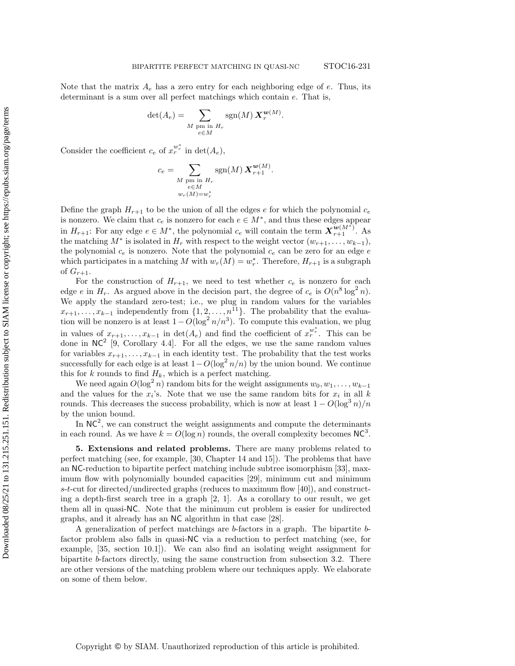Note that the matrix  $A_e$  has a zero entry for each neighboring edge of  $e$ . Thus, its determinant is a sum over all perfect matchings which contain e. That is,

$$
\det(A_e) = \sum_{\substack{M \text{ pm in } H_r \\ e \in M}} \text{sgn}(M) \, \mathbf{X}_r^{\mathbf{w}(M)}.
$$

Consider the coefficient  $c_e$  of  $x_r^{w_r^*}$  in  $\det(A_e)$ ,

$$
c_e = \sum_{\substack{M \text{ pm in } H_r \\ e \in M \\ w_r(M) = w_r^*}} \text{sgn}(M) \, \mathbf{X}_{r+1}^{\mathbf{w}(M)}.
$$

Define the graph  $H_{r+1}$  to be the union of all the edges e for which the polynomial  $c_e$ is nonzero. We claim that  $c_e$  is nonzero for each  $e \in M^*$ , and thus these edges appear in  $H_{r+1}$ : For any edge  $e \in M^*$ , the polynomial  $c_e$  will contain the term  $\mathbf{X}_{r+1}^{\mathbf{w}(M^*)}$ . As the matching  $M^*$  is isolated in  $H_r$  with respect to the weight vector  $(w_{r+1}, \ldots, w_{k-1}),$ the polynomial  $c_e$  is nonzero. Note that the polynomial  $c_e$  can be zero for an edge  $e$ which participates in a matching M with  $w_r(M) = w_r^*$ . Therefore,  $H_{r+1}$  is a subgraph of  $G_{r+1}$ .

For the construction of  $H_{r+1}$ , we need to test whether  $c_e$  is nonzero for each edge e in  $H_r$ . As argued above in the decision part, the degree of  $c_e$  is  $O(n^8 \log^2 n)$ . We apply the standard zero-test; i.e., we plug in random values for the variables  $x_{r+1}, \ldots, x_{k-1}$  independently from  $\{1, 2, \ldots, n^{\tilde{1}1}\}\$ . The probability that the evaluation will be nonzero is at least  $1 - O(\log^2 n/n^3)$ . To compute this evaluation, we plug in values of  $x_{r+1}, \ldots, x_{k-1}$  in  $\det(A_e)$  and find the coefficient of  $x_r^{w_r^*}$ . This can be done in  $NC^2$  [\[9,](#page-15-14) Corollary 4.4]. For all the edges, we use the same random values for variables  $x_{r+1}, \ldots, x_{k-1}$  in each identity test. The probability that the test works successfully for each edge is at least  $1-O(\log^2 n/n)$  by the union bound. We continue this for k rounds to find  $H_k$ , which is a perfect matching.

We need again  $O(\log^2 n)$  random bits for the weight assignments  $w_0, w_1, \ldots, w_{k-1}$ and the values for the  $x_i$ 's. Note that we use the same random bits for  $x_i$  in all k rounds. This decreases the success probability, which is now at least  $1 - O(\log^3 n)/n$ by the union bound.

In  $NC<sup>2</sup>$ , we can construct the weight assignments and compute the determinants in each round. As we have  $k = O(\log n)$  rounds, the overall complexity becomes NC<sup>3</sup>.

<span id="page-13-0"></span>5. Extensions and related problems. There are many problems related to perfect matching (see, for example, [\[30,](#page-16-18) Chapter 14 and 15]). The problems that have an NC-reduction to bipartite perfect matching include subtree isomorphism [\[33\]](#page-16-19), maximum flow with polynomially bounded capacities [\[29\]](#page-16-1), minimum cut and minimum s-t-cut for directed/undirected graphs (reduces to maximum flow  $[40]$ ), and constructing a depth-first search tree in a graph [\[2,](#page-15-16) [1\]](#page-15-17). As a corollary to our result, we get them all in quasi-NC. Note that the minimum cut problem is easier for undirected graphs, and it already has an NC algorithm in that case [\[28\]](#page-16-21).

A generalization of perfect matchings are b-factors in a graph. The bipartite bfactor problem also falls in quasi-NC via a reduction to perfect matching (see, for example, [\[35,](#page-16-13) section 10.1]). We can also find an isolating weight assignment for bipartite b-factors directly, using the same construction from [subsection 3.2.](#page-9-1) There are other versions of the matching problem where our techniques apply. We elaborate on some of them below.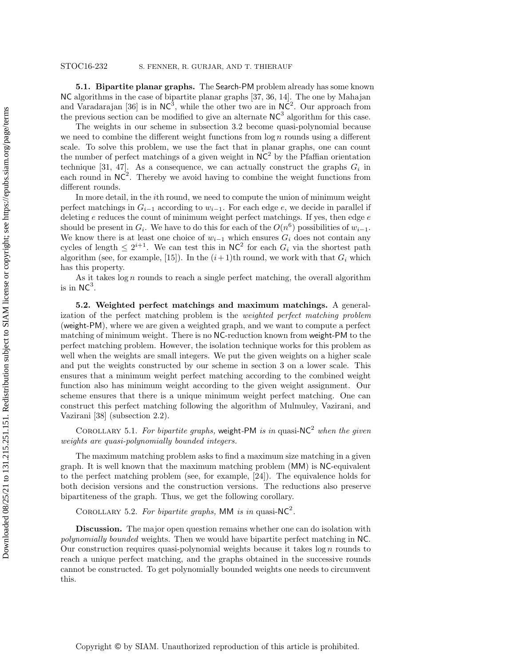5.1. Bipartite planar graphs. The Search-PM problem already has some known NC algorithms in the case of bipartite planar graphs [\[37,](#page-16-6) [36,](#page-16-7) [14\]](#page-15-4). The one by Mahajan and Varadarajan [\[36\]](#page-16-7) is in  $NC^3$ , while the other two are in  $NC^2$ . Our approach from the previous section can be modified to give an alternate  $NC<sup>3</sup>$  algorithm for this case.

The weights in our scheme in [subsection 3.2](#page-9-1) become quasi-polynomial because we need to combine the different weight functions from  $\log n$  rounds using a different scale. To solve this problem, we use the fact that in planar graphs, one can count the number of perfect matchings of a given weight in  $NC<sup>2</sup>$  by the Pfaffian orientation technique [\[31,](#page-16-22) [47\]](#page-17-5). As a consequence, we can actually construct the graphs  $G_i$  in each round in  $NC^2$ . Thereby we avoid having to combine the weight functions from different rounds.

In more detail, in the ith round, we need to compute the union of minimum weight perfect matchings in  $G_{i-1}$  according to  $w_{i-1}$ . For each edge e, we decide in parallel if deleting  $e$  reduces the count of minimum weight perfect matchings. If yes, then edge  $e$ should be present in  $G_i$ . We have to do this for each of the  $O(n^6)$  possibilities of  $w_{i-1}$ . We know there is at least one choice of  $w_{i-1}$  which ensures  $G_i$  does not contain any cycles of length  $\leq 2^{i+1}$ . We can test this in NC<sup>2</sup> for each  $G_i$  via the shortest path algorithm (see, for example, [\[15\]](#page-15-18)). In the  $(i+1)$ th round, we work with that  $G_i$  which has this property.

As it takes  $\log n$  rounds to reach a single perfect matching, the overall algorithm is in  $NC^3$ .

5.2. Weighted perfect matchings and maximum matchings. A generalization of the perfect matching problem is the weighted perfect matching problem (weight-PM), where we are given a weighted graph, and we want to compute a perfect matching of minimum weight. There is no NC-reduction known from weight-PM to the perfect matching problem. However, the isolation technique works for this problem as well when the weights are small integers. We put the given weights on a higher scale and put the weights constructed by our scheme in [section 3](#page-5-0) on a lower scale. This ensures that a minimum weight perfect matching according to the combined weight function also has minimum weight according to the given weight assignment. Our scheme ensures that there is a unique minimum weight perfect matching. One can construct this perfect matching following the algorithm of Mulmuley, Vazirani, and Vazirani [\[38\]](#page-16-2) [\(subsection 2.2\)](#page-3-1).

COROLLARY 5.1. For bipartite graphs, weight-PM is in quasi-NC<sup>2</sup> when the given weights are quasi-polynomially bounded integers.

The maximum matching problem asks to find a maximum size matching in a given graph. It is well known that the maximum matching problem (MM) is NC-equivalent to the perfect matching problem (see, for example, [\[24\]](#page-16-23)). The equivalence holds for both decision versions and the construction versions. The reductions also preserve bipartiteness of the graph. Thus, we get the following corollary.

COROLLARY 5.2. For bipartite graphs, MM is in quasi-NC<sup>2</sup>.

Discussion. The major open question remains whether one can do isolation with polynomially bounded weights. Then we would have bipartite perfect matching in NC. Our construction requires quasi-polynomial weights because it takes  $\log n$  rounds to reach a unique perfect matching, and the graphs obtained in the successive rounds cannot be constructed. To get polynomially bounded weights one needs to circumvent this.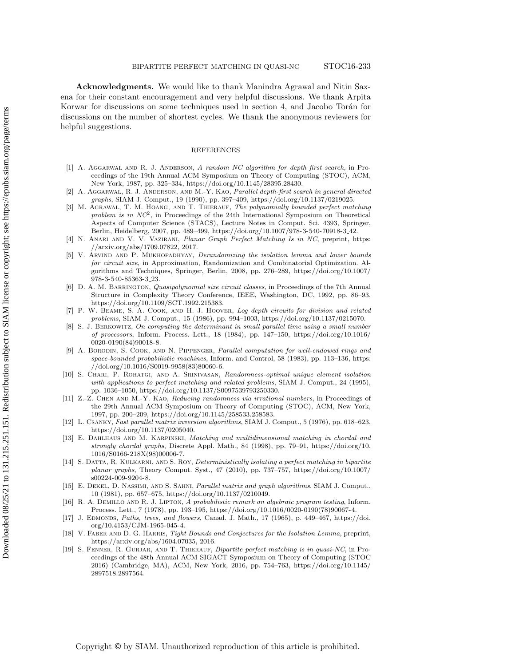Acknowledgments. We would like to thank Manindra Agrawal and Nitin Saxena for their constant encouragement and very helpful discussions. We thank Arpita Korwar for discussions on some techniques used in [section 4,](#page-10-0) and Jacobo Torán for discussions on the number of shortest cycles. We thank the anonymous reviewers for helpful suggestions.

## REFERENCES

- <span id="page-15-17"></span>[1] A. AGGARWAL AND R. J. ANDERSON, A random NC algorithm for depth first search, in Proceedings of the 19th Annual ACM Symposium on Theory of Computing (STOC), ACM, New York, 1987, pp. 325–334, [https://doi.org/10.1145/28395.28430.](https://doi.org/10.1145/28395.28430)
- <span id="page-15-16"></span>[2] A. Aggarwal, R. J. Anderson, and M.-Y. Kao, Parallel depth-first search in general directed graphs, SIAM J. Comput., 19 (1990), pp. 397–409, [https://doi.org/10.1137/0219025.](https://doi.org/10.1137/0219025)
- <span id="page-15-6"></span>[3] M. AGRAWAL, T. M. HOANG, AND T. THIERAUF, The polynomially bounded perfect matching problem is in  $NC^2$ , in Proceedings of the 24th International Symposium on Theoretical Aspects of Computer Science (STACS), Lecture Notes in Comput. Sci. 4393, Springer, Berlin, Heidelberg, 2007, pp. 489–499, [https://doi.org/10.1007/978-3-540-70918-3](https://doi.org/10.1007/978-3-540-70918-3_42) 42.
- <span id="page-15-9"></span>[4] N. Anari and V. V. Vazirani, Planar Graph Perfect Matching Is in NC, preprint, [https:](https://arxiv.org/abs/1709.07822) [//arxiv.org/abs/1709.07822,](https://arxiv.org/abs/1709.07822) 2017.
- <span id="page-15-3"></span>[5] V. ARVIND AND P. MUKHOPADHYAY, Derandomizing the isolation lemma and lower bounds for circuit size, in Approximation, Randomization and Combinatorial Optimization. Algorithms and Techniques, Springer, Berlin, 2008, pp. 276–289, [https://doi.org/10.1007/](https://doi.org/10.1007/978-3-540-85363-3_23) [978-3-540-85363-3](https://doi.org/10.1007/978-3-540-85363-3_23) 23.
- <span id="page-15-10"></span>[6] D. A. M. BARRINGTON, *Quasipolynomial size circuit classes*, in Proceedings of the 7th Annual Structure in Complexity Theory Conference, IEEE, Washington, DC, 1992, pp. 86–93, [https://doi.org/10.1109/SCT.1992.215383.](https://doi.org/10.1109/SCT.1992.215383)
- <span id="page-15-13"></span>[7] P. W. Beame, S. A. Cook, and H. J. Hoover, Log depth circuits for division and related problems, SIAM J. Comput., 15 (1986), pp. 994–1003, [https://doi.org/10.1137/0215070.](https://doi.org/10.1137/0215070)
- <span id="page-15-11"></span>[8] S. J. Berkowitz, On computing the determinant in small parallel time using a small number of processors, Inform. Process. Lett., 18 (1984), pp. 147–150, [https://doi.org/10.1016/](https://doi.org/10.1016/0020-0190(84)90018-8) [0020-0190\(84\)90018-8.](https://doi.org/10.1016/0020-0190(84)90018-8)
- <span id="page-15-14"></span>[9] A. BORODIN, S. COOK, AND N. PIPPENGER, Parallel computation for well-endowed rings and space-bounded probabilistic machines, Inform. and Control, 58 (1983), pp. 113–136, [https:](https://doi.org/10.1016/S0019-9958(83)80060-6) [//doi.org/10.1016/S0019-9958\(83\)80060-6.](https://doi.org/10.1016/S0019-9958(83)80060-6)
- <span id="page-15-7"></span>[10] S. Chari, P. Rohatgi, and A. Srinivasan, Randomness-optimal unique element isolation with applications to perfect matching and related problems, SIAM J. Comput., 24 (1995), pp. 1036–1050, [https://doi.org/10.1137/S0097539793250330.](https://doi.org/10.1137/S0097539793250330)
- <span id="page-15-8"></span>[11] Z.-Z. CHEN AND M.-Y. KAO, Reducing randomness via irrational numbers, in Proceedings of the 29th Annual ACM Symposium on Theory of Computing (STOC), ACM, New York, 1997, pp. 200–209, [https://doi.org/10.1145/258533.258583.](https://doi.org/10.1145/258533.258583)
- <span id="page-15-12"></span>[12] L. Csanky, Fast parallel matrix inversion algorithms, SIAM J. Comput., 5 (1976), pp. 618–623, [https://doi.org/10.1137/0205040.](https://doi.org/10.1137/0205040)
- <span id="page-15-5"></span>[13] E. DAHLHAUS AND M. KARPINSKI, Matching and multidimensional matching in chordal and strongly chordal graphs, Discrete Appl. Math., 84 (1998), pp. 79–91, [https://doi.org/10.](https://doi.org/10.1016/S0166-218X(98)00006-7) [1016/S0166-218X\(98\)00006-7.](https://doi.org/10.1016/S0166-218X(98)00006-7)
- <span id="page-15-4"></span>[14] S. DATTA, R. KULKARNI, AND S. ROY, Deterministically isolating a perfect matching in bipartite planar graphs, Theory Comput. Syst., 47 (2010), pp. 737–757, [https://doi.org/10.1007/](https://doi.org/10.1007/s00224-009-9204-8) [s00224-009-9204-8.](https://doi.org/10.1007/s00224-009-9204-8)
- <span id="page-15-18"></span>[15] E. Dekel, D. Nassimi, and S. Sahni, Parallel matrix and graph algorithms, SIAM J. Comput., 10 (1981), pp. 657–675, [https://doi.org/10.1137/0210049.](https://doi.org/10.1137/0210049)
- <span id="page-15-15"></span>[16] R. A. DEMILLO AND R. J. LIPTON, A probabilistic remark on algebraic program testing, Inform. Process. Lett., 7 (1978), pp. 193–195, [https://doi.org/10.1016/0020-0190\(78\)90067-4.](https://doi.org/10.1016/0020-0190(78)90067-4)
- <span id="page-15-0"></span>[17] J. Edmonds, Paths, trees, and flowers, Canad. J. Math., 17 (1965), p. 449–467, [https://doi.](https://doi.org/10.4153/CJM-1965-045-4) [org/10.4153/CJM-1965-045-4.](https://doi.org/10.4153/CJM-1965-045-4)
- <span id="page-15-2"></span>[18] V. FABER AND D. G. HARRIS, Tight Bounds and Conjectures for the Isolation Lemma, preprint, [https://arxiv.org/abs/1604.07035,](https://arxiv.org/abs/1604.07035) 2016.
- <span id="page-15-1"></span>[19] S. FENNER, R. GURJAR, AND T. THIERAUF, Bipartite perfect matching is in quasi-NC, in Proceedings of the 48th Annual ACM SIGACT Symposium on Theory of Computing (STOC 2016) (Cambridge, MA), ACM, New York, 2016, pp. 754–763, [https://doi.org/10.1145/](https://doi.org/10.1145/2897518.2897564) [2897518.2897564.](https://doi.org/10.1145/2897518.2897564)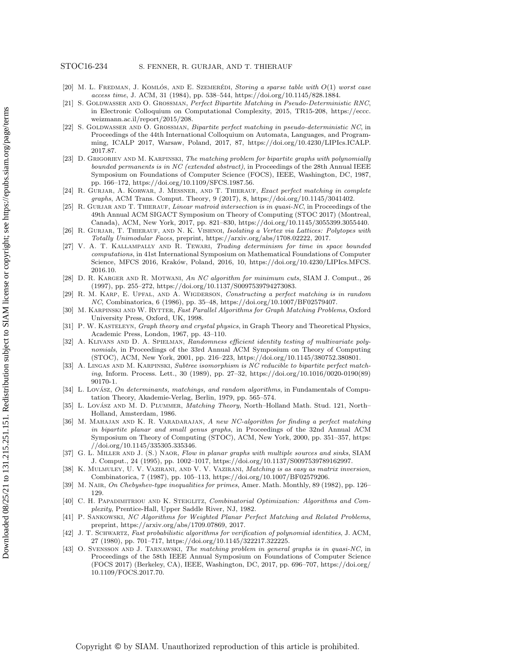- <span id="page-16-14"></span>[20] M. L. FREDMAN, J. KOMLÓS, AND E. SZEMERÉDI, Storing a sparse table with  $O(1)$  worst case access time, J. ACM, 31 (1984), pp. 538–544, [https://doi.org/10.1145/828.1884.](https://doi.org/10.1145/828.1884)
- <span id="page-16-4"></span>[21] S. GOLDWASSER AND O. GROSSMAN, Perfect Bipartite Matching in Pseudo-Deterministic RNC, in Electronic Colloquium on Computational Complexity, 2015, TR15-208, [https://eccc.](https://eccc.weizmann.ac.il/report/2015/208) [weizmann.ac.il/report/2015/208.](https://eccc.weizmann.ac.il/report/2015/208)
- <span id="page-16-5"></span>[22] S. GOLDWASSER AND O. GROSSMAN, Bipartite perfect matching in pseudo-deterministic NC, in Proceedings of the 44th International Colloquium on Automata, Languages, and Programming, ICALP 2017, Warsaw, Poland, 2017, 87, [https://doi.org/10.4230/LIPIcs.ICALP.](https://doi.org/10.4230/LIPIcs.ICALP.2017.87) [2017.87.](https://doi.org/10.4230/LIPIcs.ICALP.2017.87)
- <span id="page-16-3"></span>[23] D. GRIGORIEV AND M. KARPINSKI, The matching problem for bipartite graphs with polynomially bounded permanents is in NC (extended abstract), in Proceedings of the 28th Annual IEEE Symposium on Foundations of Computer Science (FOCS), IEEE, Washington, DC, 1987, pp. 166–172, [https://doi.org/10.1109/SFCS.1987.56.](https://doi.org/10.1109/SFCS.1987.56)
- <span id="page-16-23"></span>[24] R. Gurjar, A. Korwar, J. Messner, and T. Thierauf, Exact perfect matching in complete graphs, ACM Trans. Comput. Theory, 9 (2017), 8, [https://doi.org/10.1145/3041402.](https://doi.org/10.1145/3041402)
- <span id="page-16-8"></span>[25] R. GURJAR AND T. THIERAUF, Linear matroid intersection is in quasi-NC, in Proceedings of the 49th Annual ACM SIGACT Symposium on Theory of Computing (STOC 2017) (Montreal, Canada), ACM, New York, 2017, pp. 821–830, [https://doi.org/10.1145/3055399.3055440.](https://doi.org/10.1145/3055399.3055440)
- <span id="page-16-9"></span>[26] R. GURJAR, T. THIERAUF, AND N. K. VISHNOI, Isolating a Vertex via Lattices: Polytopes with Totally Unimodular Faces, preprint, [https://arxiv.org/abs/1708.02222,](https://arxiv.org/abs/1708.02222) 2017.
- <span id="page-16-12"></span>[27] V. A. T. Kallampally and R. Tewari, Trading determinism for time in space bounded computations, in 41st International Symposium on Mathematical Foundations of Computer Science, MFCS 2016, Kraków, Poland, 2016, 10, [https://doi.org/10.4230/LIPIcs.MFCS.](https://doi.org/10.4230/LIPIcs.MFCS.2016.10) [2016.10.](https://doi.org/10.4230/LIPIcs.MFCS.2016.10)
- <span id="page-16-21"></span>[28] D. R. Karger and R. Motwani, An NC algorithm for minimum cuts, SIAM J. Comput., 26 (1997), pp. 255–272, [https://doi.org/10.1137/S0097539794273083.](https://doi.org/10.1137/S0097539794273083)
- <span id="page-16-1"></span>[29] R. M. Karp, E. Upfal, and A. Wigderson, Constructing a perfect matching is in random NC, Combinatorica, 6 (1986), pp. 35–48, [https://doi.org/10.1007/BF02579407.](https://doi.org/10.1007/BF02579407)
- <span id="page-16-18"></span>[30] M. Karpinski and W. Rytter, Fast Parallel Algorithms for Graph Matching Problems, Oxford University Press, Oxford, UK, 1998.
- <span id="page-16-22"></span>[31] P. W. KASTELEYN, Graph theory and crystal physics, in Graph Theory and Theoretical Physics, Academic Press, London, 1967, pp. 43–110.
- <span id="page-16-16"></span>[32] A. KLIVANS AND D. A. SPIELMAN, Randomness efficient identity testing of multivariate polynomials, in Proceedings of the 33rd Annual ACM Symposium on Theory of Computing (STOC), ACM, New York, 2001, pp. 216–223, [https://doi.org/10.1145/380752.380801.](https://doi.org/10.1145/380752.380801)
- <span id="page-16-19"></span>[33] A. LINGAS AND M. KARPINSKI, Subtree isomorphism is NC reducible to bipartite perfect matching, Inform. Process. Lett., 30 (1989), pp. 27–32, [https://doi.org/10.1016/0020-0190\(89\)](https://doi.org/10.1016/0020-0190(89)90170-1) [90170-1.](https://doi.org/10.1016/0020-0190(89)90170-1)
- <span id="page-16-0"></span>[34] L. Lovász, On determinants, matchings, and random algorithms, in Fundamentals of Computation Theory, Akademie-Verlag, Berlin, 1979, pp. 565–574.
- <span id="page-16-13"></span>[35] L. Lovász AND M. D. PLUMMER, Matching Theory, North-Holland Math. Stud. 121, North-Holland, Amsterdam, 1986.
- <span id="page-16-7"></span>[36] M. MAHAJAN AND K. R. VARADARAJAN, A new NC-algorithm for finding a perfect matching in bipartite planar and small genus graphs, in Proceedings of the 32nd Annual ACM Symposium on Theory of Computing (STOC), ACM, New York, 2000, pp. 351–357, [https:](https://doi.org/10.1145/335305.335346) [//doi.org/10.1145/335305.335346.](https://doi.org/10.1145/335305.335346)
- <span id="page-16-6"></span>[37] G. L. MILLER AND J. (S.) NAOR, Flow in planar graphs with multiple sources and sinks, SIAM J. Comput., 24 (1995), pp. 1002–1017, [https://doi.org/10.1137/S0097539789162997.](https://doi.org/10.1137/S0097539789162997)
- <span id="page-16-2"></span>[38] K. Mulmuley, U. V. Vazirani, and V. V. Vazirani, Matching is as easy as matrix inversion, Combinatorica, 7 (1987), pp. 105–113, [https://doi.org/10.1007/BF02579206.](https://doi.org/10.1007/BF02579206)
- <span id="page-16-15"></span>[39] M. Nair, On Chebyshev-type inequalities for primes, Amer. Math. Monthly, 89 (1982), pp. 126– 129.
- <span id="page-16-20"></span>[40] C. H. Papadimitriou and K. Steiglitz, Combinatorial Optimization: Algorithms and Complexity, Prentice-Hall, Upper Saddle River, NJ, 1982.
- <span id="page-16-11"></span>[41] P. Sankowski, NC Algorithms for Weighted Planar Perfect Matching and Related Problems, preprint, [https://arxiv.org/abs/1709.07869,](https://arxiv.org/abs/1709.07869) 2017.
- <span id="page-16-17"></span>[42] J. T. Schwartz, Fast probabilistic algorithms for verification of polynomial identities, J. ACM, 27 (1980), pp. 701–717, [https://doi.org/10.1145/322217.322225.](https://doi.org/10.1145/322217.322225)
- <span id="page-16-10"></span>[43] O. SVENSSON AND J. TARNAWSKI, The matching problem in general graphs is in quasi-NC, in Proceedings of the 58th IEEE Annual Symposium on Foundations of Computer Science (FOCS 2017) (Berkeley, CA), IEEE, Washington, DC, 2017, pp. 696–707, [https://doi.org/](https://doi.org/10.1109/FOCS.2017.70) [10.1109/FOCS.2017.70.](https://doi.org/10.1109/FOCS.2017.70)